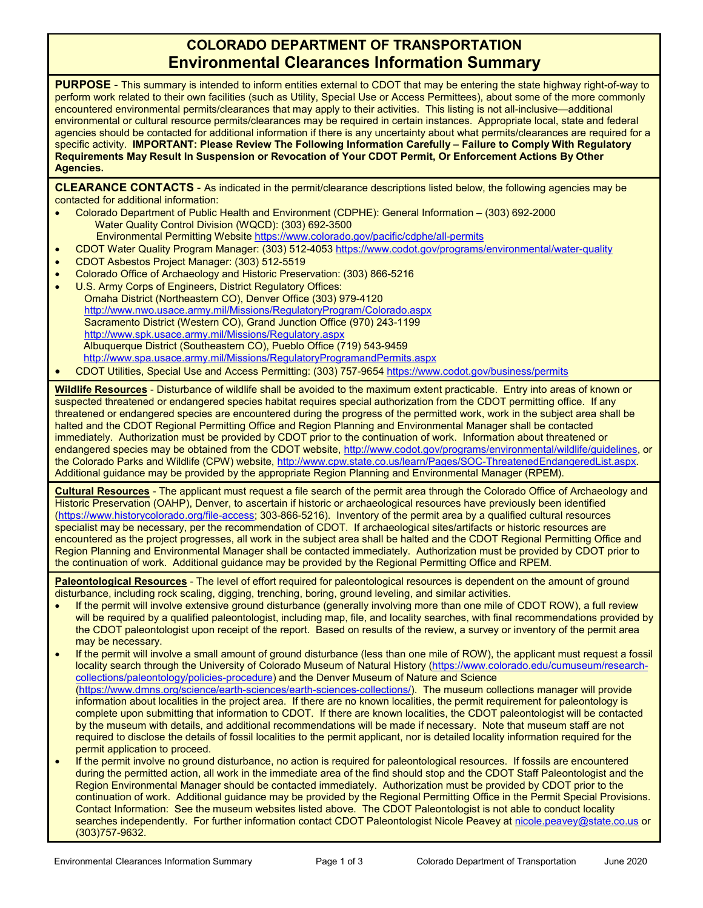## **COLORADO DEPARTMENT OF TRANSPORTATION Environmental Clearances Information Summary**

**PURPOSE** - This summary is intended to inform entities external to CDOT that may be entering the state highway right-of-way to perform work related to their own facilities (such as Utility, Special Use or Access Permittees), about some of the more commonly encountered environmental permits/clearances that may apply to their activities. This listing is not all-inclusive—additional environmental or cultural resource permits/clearances may be required in certain instances. Appropriate local, state and federal agencies should be contacted for additional information if there is any uncertainty about what permits/clearances are required for a specific activity. **IMPORTANT: Please Review The Following Information Carefully – Failure to Comply With Regulatory Requirements May Result In Suspension or Revocation of Your CDOT Permit, Or Enforcement Actions By Other Agencies.**

**CLEARANCE CONTACTS** - As indicated in the permit/clearance descriptions listed below, the following agencies may be contacted for additional information:

- Colorado Department of Public Health and Environment (CDPHE): General Information (303) 692-2000 Water Quality Control Division (WQCD): (303) 692-3500
	- Environmental Permitting Website <https://www.colorado.gov/pacific/cdphe/all-permits>
- CDOT Water Quality Program Manager: (303) 512-4053 <https://www.codot.gov/programs/environmental/water-quality>
- CDOT Asbestos Project Manager: (303) 512-5519
- Colorado Office of Archaeology and Historic Preservation: (303) 866-5216
- U.S. Army Corps of Engineers, District Regulatory Offices: Omaha District (Northeastern CO), Denver Office (303) 979-4120 <http://www.nwo.usace.army.mil/Missions/RegulatoryProgram/Colorado.aspx> Sacramento District (Western CO), Grand Junction Office (970) 243-1199 <http://www.spk.usace.army.mil/Missions/Regulatory.aspx> Albuquerque District (Southeastern CO), Pueblo Office (719) 543-9459 <http://www.spa.usace.army.mil/Missions/RegulatoryProgramandPermits.aspx>
- CDOT Utilities, Special Use and Access Permitting: (303) 757-9654 <https://www.codot.gov/business/permits>

**Wildlife Resources** - Disturbance of wildlife shall be avoided to the maximum extent practicable. Entry into areas of known or suspected threatened or endangered species habitat requires special authorization from the CDOT permitting office. If any threatened or endangered species are encountered during the progress of the permitted work, work in the subject area shall be halted and the CDOT Regional Permitting Office and Region Planning and Environmental Manager shall be contacted immediately. Authorization must be provided by CDOT prior to the continuation of work. Information about threatened or endangered species may be obtained from the CDOT website[, http://www.codot.gov/programs/environmental/wildlife/guidelines,](http://www.codot.gov/programs/environmental/wildlife/guidelines) or the Colorado Parks and Wildlife (CPW) website, [http://www.cpw.state.co.us/learn/Pages/SOC-ThreatenedEndangeredList.aspx.](http://www.cpw.state.co.us/learn/Pages/SOC-ThreatenedEndangeredList.aspx) Additional guidance may be provided by the appropriate Region Planning and Environmental Manager (RPEM).

**Cultural Resources** - The applicant must request a file search of the permit area through the Colorado Office of Archaeology and Historic Preservation (OAHP), Denver, to ascertain if historic or archaeological resources have previously been identified [\(https://www.historycolorado.org/file-access;](https://www.historycolorado.org/file-access) 303-866-5216). Inventory of the permit area by a qualified cultural resources specialist may be necessary, per the recommendation of CDOT. If archaeological sites/artifacts or historic resources are encountered as the project progresses, all work in the subject area shall be halted and the CDOT Regional Permitting Office and Region Planning and Environmental Manager shall be contacted immediately. Authorization must be provided by CDOT prior to the continuation of work. Additional guidance may be provided by the Regional Permitting Office and RPEM.

**Paleontological Resources** - The level of effort required for paleontological resources is dependent on the amount of ground disturbance, including rock scaling, digging, trenching, boring, ground leveling, and similar activities.

- If the permit will involve extensive ground disturbance (generally involving more than one mile of CDOT ROW), a full review will be required by a qualified paleontologist, including map, file, and locality searches, with final recommendations provided by the CDOT paleontologist upon receipt of the report. Based on results of the review, a survey or inventory of the permit area may be necessary.
- If the permit will involve a small amount of ground disturbance (less than one mile of ROW), the applicant must request a fossil locality search through the University of Colorado Museum of Natural History [\(https://www.colorado.edu/cumuseum/research](https://www.colorado.edu/cumuseum/research-collections/paleontology/policies-procedure)[collections/paleontology/policies-procedure\)](https://www.colorado.edu/cumuseum/research-collections/paleontology/policies-procedure) and the Denver Museum of Nature and Science [\(https://www.dmns.org/science/earth-sciences/earth-sciences-collections/\)](https://www.dmns.org/science/earth-sciences/earth-sciences-collections/). The museum collections manager will provide information about localities in the project area. If there are no known localities, the permit requirement for paleontology is complete upon submitting that information to CDOT. If there are known localities, the CDOT paleontologist will be contacted by the museum with details, and additional recommendations will be made if necessary. Note that museum staff are not required to disclose the details of fossil localities to the permit applicant, nor is detailed locality information required for the permit application to proceed.
- If the permit involve no ground disturbance, no action is required for paleontological resources. If fossils are encountered during the permitted action, all work in the immediate area of the find should stop and the CDOT Staff Paleontologist and the Region Environmental Manager should be contacted immediately. Authorization must be provided by CDOT prior to the continuation of work. Additional guidance may be provided by the Regional Permitting Office in the Permit Special Provisions. Contact Information: See the museum websites listed above. The CDOT Paleontologist is not able to conduct locality searches independently. For further information contact CDOT Paleontologist Nicole Peavey a[t nicole.peavey@state.co.us](mailto:nicole.peavey@state.co.us) or (303)757-9632.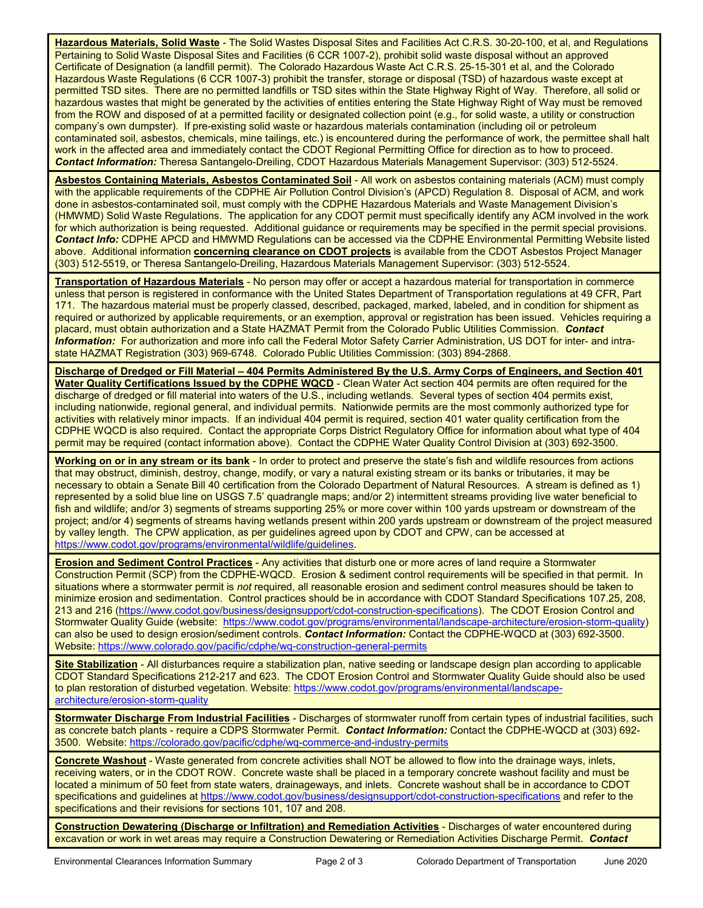**Hazardous Materials, Solid Waste** - The Solid Wastes Disposal Sites and Facilities Act C.R.S. 30-20-100, et al, and Regulations Pertaining to Solid Waste Disposal Sites and Facilities (6 CCR 1007-2), prohibit solid waste disposal without an approved Certificate of Designation (a landfill permit). The Colorado Hazardous Waste Act C.R.S. 25-15-301 et al, and the Colorado Hazardous Waste Regulations (6 CCR 1007-3) prohibit the transfer, storage or disposal (TSD) of hazardous waste except at permitted TSD sites. There are no permitted landfills or TSD sites within the State Highway Right of Way. Therefore, all solid or hazardous wastes that might be generated by the activities of entities entering the State Highway Right of Way must be removed from the ROW and disposed of at a permitted facility or designated collection point (e.g., for solid waste, a utility or construction company's own dumpster). If pre-existing solid waste or hazardous materials contamination (including oil or petroleum contaminated soil, asbestos, chemicals, mine tailings, etc.) is encountered during the performance of work, the permittee shall halt work in the affected area and immediately contact the CDOT Regional Permitting Office for direction as to how to proceed. *Contact Information:* Theresa Santangelo-Dreiling, CDOT Hazardous Materials Management Supervisor: (303) 512-5524.

**Asbestos Containing Materials, Asbestos Contaminated Soil** - All work on asbestos containing materials (ACM) must comply with the applicable requirements of the CDPHE Air Pollution Control Division's (APCD) Regulation 8. Disposal of ACM, and work done in asbestos-contaminated soil, must comply with the CDPHE Hazardous Materials and Waste Management Division's (HMWMD) Solid Waste Regulations. The application for any CDOT permit must specifically identify any ACM involved in the work for which authorization is being requested. Additional guidance or requirements may be specified in the permit special provisions. *Contact Info:* CDPHE APCD and HMWMD Regulations can be accessed via the CDPHE Environmental Permitting Website listed above. Additional information **concerning clearance on CDOT projects** is available from the CDOT Asbestos Project Manager (303) 512-5519, or Theresa Santangelo-Dreiling, Hazardous Materials Management Supervisor: (303) 512-5524.

**Transportation of Hazardous Materials** - No person may offer or accept a hazardous material for transportation in commerce unless that person is registered in conformance with the United States Department of Transportation regulations at 49 CFR, Part 171. The hazardous material must be properly classed, described, packaged, marked, labeled, and in condition for shipment as required or authorized by applicable requirements, or an exemption, approval or registration has been issued. Vehicles requiring a placard, must obtain authorization and a State HAZMAT Permit from the Colorado Public Utilities Commission. *Contact Information:* For authorization and more info call the Federal Motor Safety Carrier Administration, US DOT for inter- and intrastate HAZMAT Registration (303) 969-6748. Colorado Public Utilities Commission: (303) 894-2868.

**Discharge of Dredged or Fill Material – 404 Permits Administered By the U.S. Army Corps of Engineers, and Section 401 Water Quality Certifications Issued by the CDPHE WQCD** - Clean Water Act section 404 permits are often required for the discharge of dredged or fill material into waters of the U.S., including wetlands. Several types of section 404 permits exist, including nationwide, regional general, and individual permits. Nationwide permits are the most commonly authorized type for activities with relatively minor impacts. If an individual 404 permit is required, section 401 water quality certification from the CDPHE WQCD is also required. Contact the appropriate Corps District Regulatory Office for information about what type of 404 permit may be required (contact information above). Contact the CDPHE Water Quality Control Division at (303) 692-3500.

**Working on or in any stream or its bank** - In order to protect and preserve the state's fish and wildlife resources from actions that may obstruct, diminish, destroy, change, modify, or vary a natural existing stream or its banks or tributaries, it may be necessary to obtain a Senate Bill 40 certification from the Colorado Department of Natural Resources. A stream is defined as 1) represented by a solid blue line on USGS 7.5' quadrangle maps; and/or 2) intermittent streams providing live water beneficial to fish and wildlife; and/or 3) segments of streams supporting 25% or more cover within 100 yards upstream or downstream of the project; and/or 4) segments of streams having wetlands present within 200 yards upstream or downstream of the project measured by valley length. The CPW application, as per guidelines agreed upon by CDOT and CPW, can be accessed at [https://www.codot.gov/programs/environmental/wildlife/guidelines.](https://www.codot.gov/programs/environmental/wildlife/guidelines)

**Erosion and Sediment Control Practices** - Any activities that disturb one or more acres of land require a Stormwater Construction Permit (SCP) from the CDPHE-WQCD. Erosion & sediment control requirements will be specified in that permit. In situations where a stormwater permit is *not* required, all reasonable erosion and sediment control measures should be taken to minimize erosion and sedimentation. Control practices should be in accordance with CDOT Standard Specifications 107.25, 208, 213 and 216 [\(https://www.codot.gov/business/designsupport/cdot-construction-specifications\)](https://www.codot.gov/business/designsupport/cdot-construction-specifications). The CDOT Erosion Control and Stormwater Quality Guide (website: [https://www.codot.gov/programs/environmental/landscape-architecture/erosion-storm-quality\)](https://www.codot.gov/programs/environmental/landscape-architecture/erosion-storm-quality) can also be used to design erosion/sediment controls. *Contact Information:* Contact the CDPHE-WQCD at (303) 692-3500. Website[: https://www.colorado.gov/pacific/cdphe/wq-construction-general-permits](https://www.colorado.gov/pacific/cdphe/wq-construction-general-permits)

**Site Stabilization** - All disturbances require a stabilization plan, native seeding or landscape design plan according to applicable CDOT Standard Specifications 212-217 and 623. The CDOT Erosion Control and Stormwater Quality Guide should also be used to plan restoration of disturbed vegetation. Website: [https://www.codot.gov/programs/environmental/landscape](https://www.codot.gov/programs/environmental/landscape-architecture/erosion-storm-quality)[architecture/erosion-storm-quality](https://www.codot.gov/programs/environmental/landscape-architecture/erosion-storm-quality)

**Stormwater Discharge From Industrial Facilities** - Discharges of stormwater runoff from certain types of industrial facilities, such as concrete batch plants - require a CDPS Stormwater Permit. *Contact Information:* Contact the CDPHE-WQCD at (303) 692- 3500. Website:<https://colorado.gov/pacific/cdphe/wq-commerce-and-industry-permits>

**Concrete Washout** - Waste generated from concrete activities shall NOT be allowed to flow into the drainage ways, inlets, receiving waters, or in the CDOT ROW. Concrete waste shall be placed in a temporary concrete washout facility and must be located a minimum of 50 feet from state waters, drainageways, and inlets. Concrete washout shall be in accordance to CDOT specifications and quidelines at <https://www.codot.gov/business/designsupport/cdot-construction-specifications> and refer to the specifications and their revisions for sections 101, 107 and 208.

**Construction Dewatering (Discharge or Infiltration) and Remediation Activities** - Discharges of water encountered during excavation or work in wet areas may require a Construction Dewatering or Remediation Activities Discharge Permit. *Contact*